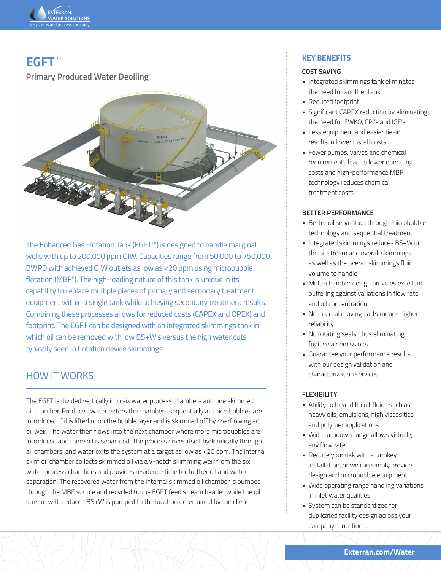

# **EGFT** ™

**Primary Produced Water Deoiling**



The Enhanced Gas Flotation Tank (EGFT™) is designed to handle marginal wells with up to 200,000 ppm OIW. Capacities range from 50,000 to 750,000 BWPD with achieved OIW outlets as low as <20 ppm using microbubble flotation (MBF®). The high-loading nature of this tank is unique in its capability to replace multiple pieces of primary and secondary treatment equipment within a single tank while achieving secondary treatment results. Combining these processes allows for reduced costs (CAPEX and OPEX) and footprint. The EGFT can be designed with an integrated skimmings tank in which oil can be removed with low BS+W's versus the high water cuts typically seen in flotation device skimmings.

## HOW IT WORKS

The EGFT is divided vertically into six water process chambers and one skimmed oil chamber. Produced water enters the chambers sequentially as microbubbles are introduced. Oil is lifted upon the bubble layer and is skimmed off by overflowing an oil weir. The water then flows into the next chamber where more microbubbles are introduced and more oil is separated. The process drives itself hydraulically through all chambers, and water exits the system at a target as low as <20 ppm. The internal skim oil chamber collects skimmed oil via a v-notch skimming weir from the six water process chambers and provides residence time for further oil and water separation. The recovered water from the internal skimmed oil chamber is pumped through the MBF source and recycled to the EGFT feed stream header while the oil stream with reduced BS+W is pumped to the location determined by the client.

#### **KEY BENEFITS**

#### **COST SAVING**

- Integrated skimmings tank eliminates the need for another tank
- Reduced footprint
- Significant CAPEX reduction by eliminating the need for FWKO, CPI's and IGF's
- Less equipment and easier tie-in results in lower install costs
- Fewer pumps, valves and chemical requirements lead to lower operating costs and high-performance MBF technology reduces chemical treatment costs

#### **BETTER PERFORMANCE**

- Better oil separation through microbubble technology and sequential treatment
- Integrated skimmings reduces BS+W in the oil stream and overall skimmings as well as the overall skimmings fluid volume to handle
- Multi-chamber design provides excellent buffering against variations in flow rate and oil concentration
- No internal moving parts means higher reliability
- No rotating seals, thus eliminating fugitive air emissions
- Guarantee your performance results with our design validation and characterization services

#### **FLEXIBILITY**

- Ability to treat difficult fluids such as heavy oils, emulsions, high viscosities and polymer applications
- Wide turndown range allows virtually any flow rate
- Reduce your risk with a turnkey installation, or we can simply provide design and microbubble equipment
- Wide operating range handling variations in inlet water qualities
- System can be standardized for duplicated facility design across your company's locations.

**Exterran.com/Water**